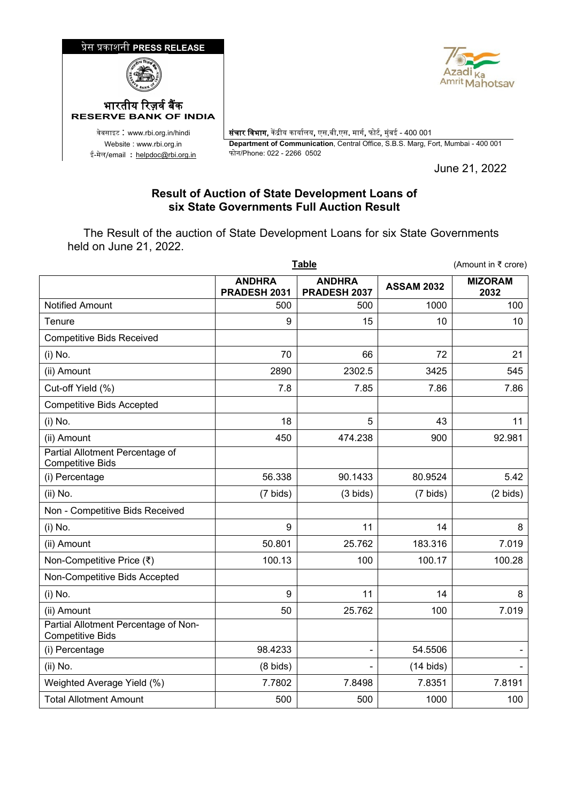

## **Result of Auction of State Development Loans of six State Governments Full Auction Result**

 The Result of the auction of State Development Loans for six State Governments held on June 21, 2022.

|                                                                 | <b>Table</b>                  |                               |                     | (Amount in ₹ crore)    |  |
|-----------------------------------------------------------------|-------------------------------|-------------------------------|---------------------|------------------------|--|
|                                                                 | <b>ANDHRA</b><br>PRADESH 2031 | <b>ANDHRA</b><br>PRADESH 2037 | <b>ASSAM 2032</b>   | <b>MIZORAM</b><br>2032 |  |
| <b>Notified Amount</b>                                          | 500                           | 500                           | 1000                | 100                    |  |
| Tenure                                                          | 9                             | 15                            | 10                  | 10                     |  |
| <b>Competitive Bids Received</b>                                |                               |                               |                     |                        |  |
| (i) No.                                                         | 70                            | 66                            | 72                  | 21                     |  |
| (ii) Amount                                                     | 2890                          | 2302.5                        | 3425                | 545                    |  |
| Cut-off Yield (%)                                               | 7.8                           | 7.85                          | 7.86                | 7.86                   |  |
| <b>Competitive Bids Accepted</b>                                |                               |                               |                     |                        |  |
| (i) No.                                                         | 18                            | 5                             | 43                  | 11                     |  |
| (ii) Amount                                                     | 450                           | 474.238                       | 900                 | 92.981                 |  |
| Partial Allotment Percentage of<br><b>Competitive Bids</b>      |                               |                               |                     |                        |  |
| (i) Percentage                                                  | 56.338                        | 90.1433                       | 80.9524             | 5.42                   |  |
| (ii) No.                                                        | $(7 \text{ bids})$            | $(3 \text{ bids})$            | $(7 \text{ bids})$  | $(2 \text{ bids})$     |  |
| Non - Competitive Bids Received                                 |                               |                               |                     |                        |  |
| (i) No.                                                         | 9                             | 11                            | 14                  | 8                      |  |
| (ii) Amount                                                     | 50.801                        | 25.762                        | 183.316             | 7.019                  |  |
| Non-Competitive Price (₹)                                       | 100.13                        | 100                           | 100.17              | 100.28                 |  |
| Non-Competitive Bids Accepted                                   |                               |                               |                     |                        |  |
| (i) No.                                                         | 9                             | 11                            | 14                  | 8                      |  |
| (ii) Amount                                                     | 50                            | 25.762                        | 100                 | 7.019                  |  |
| Partial Allotment Percentage of Non-<br><b>Competitive Bids</b> |                               |                               |                     |                        |  |
| (i) Percentage                                                  | 98.4233                       |                               | 54.5506             |                        |  |
| $(ii)$ No.                                                      | $(8 \text{ bids})$            |                               | $(14 \text{ bids})$ |                        |  |
| Weighted Average Yield (%)                                      | 7.7802                        | 7.8498                        | 7.8351              | 7.8191                 |  |
| <b>Total Allotment Amount</b>                                   | 500                           | 500                           | 1000                | 100                    |  |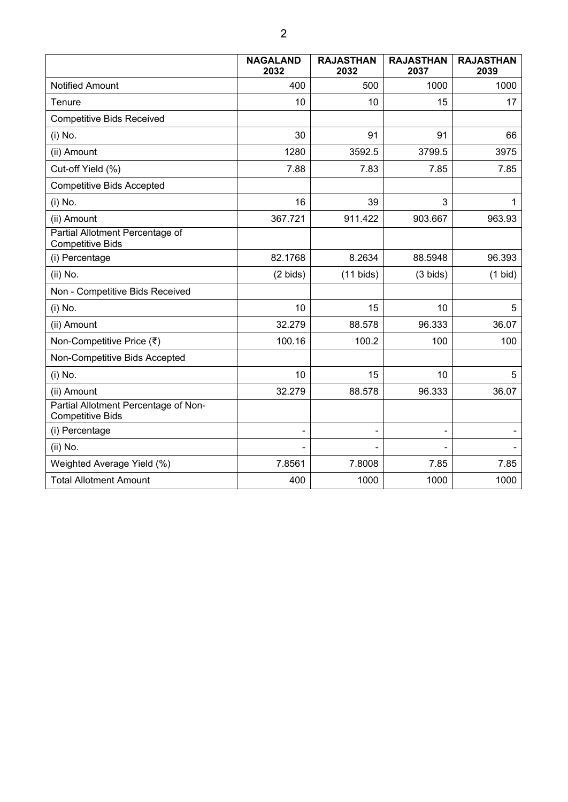|                                                                 | <b>NAGALAND</b><br>2032 | <b>RAJASTHAN</b><br>2032 | <b>RAJASTHAN</b><br>2037 | <b>RAJASTHAN</b><br>2039 |
|-----------------------------------------------------------------|-------------------------|--------------------------|--------------------------|--------------------------|
| <b>Notified Amount</b>                                          | 400                     | 500                      | 1000                     | 1000                     |
| Tenure                                                          | 10                      | 10                       | 15                       | 17                       |
| <b>Competitive Bids Received</b>                                |                         |                          |                          |                          |
| (i) No.                                                         | 30                      | 91                       | 91                       | 66                       |
| (ii) Amount                                                     | 1280                    | 3592.5                   | 3799.5                   | 3975                     |
| Cut-off Yield (%)                                               | 7.88                    | 7.83                     | 7.85                     | 7.85                     |
| <b>Competitive Bids Accepted</b>                                |                         |                          |                          |                          |
| (i) No.                                                         | 16                      | 39                       | 3                        | 1                        |
| (ii) Amount                                                     | 367.721                 | 911.422                  | 903.667                  | 963.93                   |
| Partial Allotment Percentage of<br><b>Competitive Bids</b>      |                         |                          |                          |                          |
| (i) Percentage                                                  | 82.1768                 | 8.2634                   | 88.5948                  | 96.393                   |
| (ii) No.                                                        | $(2 \text{ bids})$      | $(11 \text{ bids})$      | $(3 \text{ bids})$       | $(1$ bid)                |
| Non - Competitive Bids Received                                 |                         |                          |                          |                          |
| (i) No.                                                         | 10                      | 15                       | 10                       | 5                        |
| (ii) Amount                                                     | 32.279                  | 88.578                   | 96.333                   | 36.07                    |
| Non-Competitive Price (₹)                                       | 100.16                  | 100.2                    | 100                      | 100                      |
| Non-Competitive Bids Accepted                                   |                         |                          |                          |                          |
| (i) No.                                                         | 10                      | 15                       | 10                       | 5                        |
| (ii) Amount                                                     | 32.279                  | 88.578                   | 96.333                   | 36.07                    |
| Partial Allotment Percentage of Non-<br><b>Competitive Bids</b> |                         |                          |                          |                          |
| (i) Percentage                                                  | -                       | $\blacksquare$           | $\overline{\phantom{0}}$ |                          |
| (ii) No.                                                        |                         |                          |                          |                          |
| Weighted Average Yield (%)                                      | 7.8561                  | 7.8008                   | 7.85                     | 7.85                     |
| <b>Total Allotment Amount</b>                                   | 400                     | 1000                     | 1000                     | 1000                     |